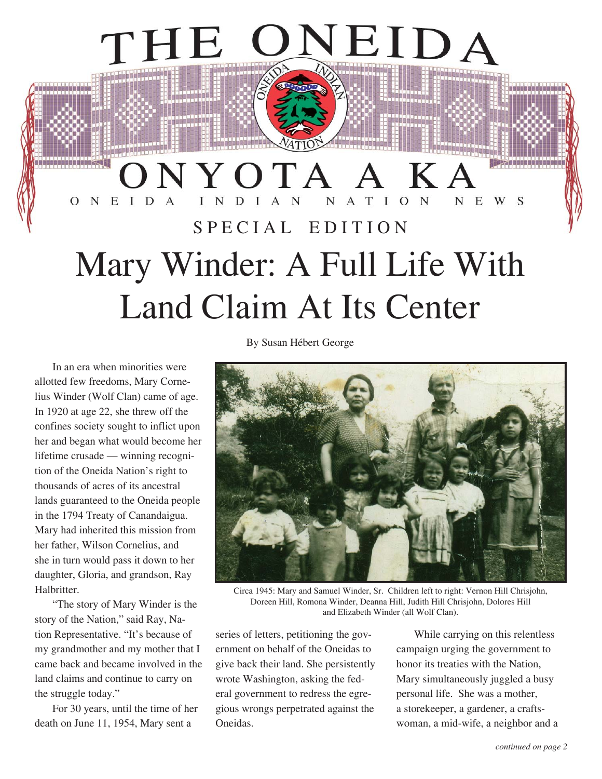## ONYOTA A KA ONEIDA  $N$ N E W S N D SPECIAL EDITION Mary Winder: A Full Life With Land Claim At Its Center

In an era when minorities were allotted few freedoms, Mary Cornelius Winder (Wolf Clan) came of age. In 1920 at age 22, she threw off the confines society sought to inflict upon her and began what would become her lifetime crusade — winning recognition of the Oneida Nation's right to thousands of acres of its ancestral lands guaranteed to the Oneida people in the 1794 Treaty of Canandaigua. Mary had inherited this mission from her father, Wilson Cornelius, and she in turn would pass it down to her daughter, Gloria, and grandson, Ray Halbritter.

THE

iaassaasaasaa

"The story of Mary Winder is the story of the Nation," said Ray, Nation Representative. "It's because of my grandmother and my mother that I came back and became involved in the land claims and continue to carry on the struggle today."

For 30 years, until the time of her death on June 11, 1954, Mary sent a

By Susan Hébert George



EIDA

Circa 1945: Mary and Samuel Winder, Sr. Children left to right: Vernon Hill Chrisjohn, Doreen Hill, Romona Winder, Deanna Hill, Judith Hill Chrisjohn, Dolores Hill and Elizabeth Winder (all Wolf Clan).

series of letters, petitioning the government on behalf of the Oneidas to give back their land. She persistently wrote Washington, asking the federal government to redress the egregious wrongs perpetrated against the Oneidas.

While carrying on this relentless campaign urging the government to honor its treaties with the Nation, Mary simultaneously juggled a busy personal life. She was a mother, a storekeeper, a gardener, a craftswoman, a mid-wife, a neighbor and a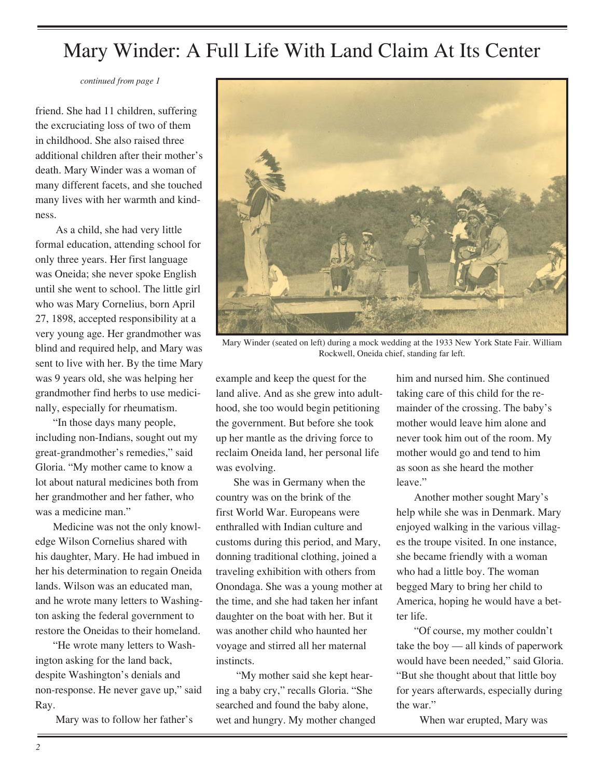*continued from page 1*

friend. She had 11 children, suffering the excruciating loss of two of them in childhood. She also raised three additional children after their mother's death. Mary Winder was a woman of many different facets, and she touched many lives with her warmth and kindness.

 As a child, she had very little formal education, attending school for only three years. Her first language was Oneida; she never spoke English until she went to school. The little girl who was Mary Cornelius, born April 27, 1898, accepted responsibility at a very young age. Her grandmother was blind and required help, and Mary was sent to live with her. By the time Mary was 9 years old, she was helping her grandmother find herbs to use medicinally, especially for rheumatism.

"In those days many people, including non-Indians, sought out my great-grandmother's remedies," said Gloria. "My mother came to know a lot about natural medicines both from her grandmother and her father, who was a medicine man."

Medicine was not the only knowledge Wilson Cornelius shared with his daughter, Mary. He had imbued in her his determination to regain Oneida lands. Wilson was an educated man, and he wrote many letters to Washington asking the federal government to restore the Oneidas to their homeland.

"He wrote many letters to Washington asking for the land back, despite Washington's denials and non-response. He never gave up," said Ray.

Mary was to follow her father's



Mary Winder (seated on left) during a mock wedding at the 1933 New York State Fair. William Rockwell, Oneida chief, standing far left.

example and keep the quest for the land alive. And as she grew into adulthood, she too would begin petitioning the government. But before she took up her mantle as the driving force to reclaim Oneida land, her personal life was evolving.

She was in Germany when the country was on the brink of the first World War. Europeans were enthralled with Indian culture and customs during this period, and Mary, donning traditional clothing, joined a traveling exhibition with others from Onondaga. She was a young mother at the time, and she had taken her infant daughter on the boat with her. But it was another child who haunted her voyage and stirred all her maternal instincts.

 "My mother said she kept hearing a baby cry," recalls Gloria. "She searched and found the baby alone, wet and hungry. My mother changed him and nursed him. She continued taking care of this child for the remainder of the crossing. The baby's mother would leave him alone and never took him out of the room. My mother would go and tend to him as soon as she heard the mother leave."

Another mother sought Mary's help while she was in Denmark. Mary enjoyed walking in the various villages the troupe visited. In one instance, she became friendly with a woman who had a little boy. The woman begged Mary to bring her child to America, hoping he would have a better life.

"Of course, my mother couldn't take the boy — all kinds of paperwork would have been needed," said Gloria. "But she thought about that little boy for years afterwards, especially during the war."

When war erupted, Mary was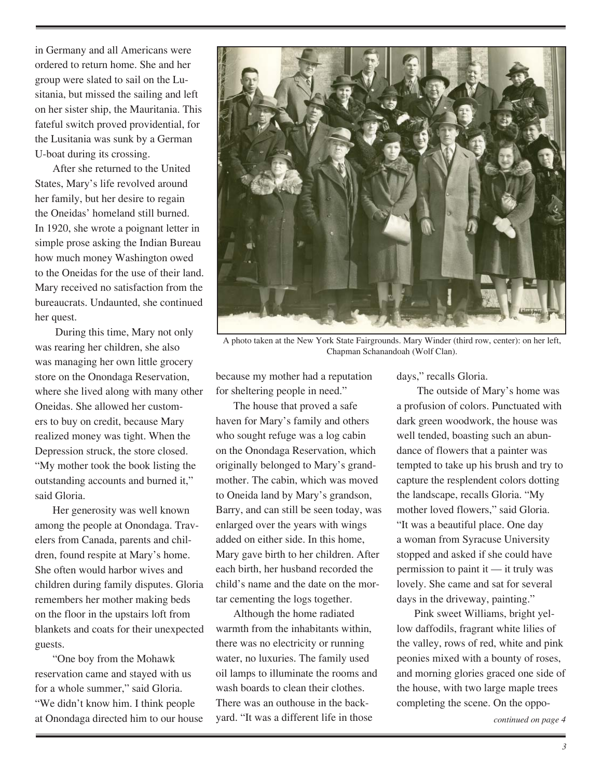in Germany and all Americans were ordered to return home. She and her group were slated to sail on the Lusitania, but missed the sailing and left on her sister ship, the Mauritania. This fateful switch proved providential, for the Lusitania was sunk by a German U-boat during its crossing.

After she returned to the United States, Mary's life revolved around her family, but her desire to regain the Oneidas' homeland still burned. In 1920, she wrote a poignant letter in simple prose asking the Indian Bureau how much money Washington owed to the Oneidas for the use of their land. Mary received no satisfaction from the bureaucrats. Undaunted, she continued her quest.

 During this time, Mary not only was rearing her children, she also was managing her own little grocery store on the Onondaga Reservation, where she lived along with many other Oneidas. She allowed her customers to buy on credit, because Mary realized money was tight. When the Depression struck, the store closed. "My mother took the book listing the outstanding accounts and burned it," said Gloria.

Her generosity was well known among the people at Onondaga. Travelers from Canada, parents and children, found respite at Mary's home. She often would harbor wives and children during family disputes. Gloria remembers her mother making beds on the floor in the upstairs loft from blankets and coats for their unexpected guests.

"One boy from the Mohawk reservation came and stayed with us for a whole summer," said Gloria. "We didn't know him. I think people at Onondaga directed him to our house



A photo taken at the New York State Fairgrounds. Mary Winder (third row, center): on her left, Chapman Schanandoah (Wolf Clan).

because my mother had a reputation for sheltering people in need."

The house that proved a safe haven for Mary's family and others who sought refuge was a log cabin on the Onondaga Reservation, which originally belonged to Mary's grandmother. The cabin, which was moved to Oneida land by Mary's grandson, Barry, and can still be seen today, was enlarged over the years with wings added on either side. In this home, Mary gave birth to her children. After each birth, her husband recorded the child's name and the date on the mortar cementing the logs together.

Although the home radiated warmth from the inhabitants within, there was no electricity or running water, no luxuries. The family used oil lamps to illuminate the rooms and wash boards to clean their clothes. There was an outhouse in the backyard. "It was a different life in those

days," recalls Gloria.

 The outside of Mary's home was a profusion of colors. Punctuated with dark green woodwork, the house was well tended, boasting such an abundance of flowers that a painter was tempted to take up his brush and try to capture the resplendent colors dotting the landscape, recalls Gloria. "My mother loved flowers," said Gloria. "It was a beautiful place. One day a woman from Syracuse University stopped and asked if she could have permission to paint it — it truly was lovely. She came and sat for several days in the driveway, painting."

Pink sweet Williams, bright yellow daffodils, fragrant white lilies of the valley, rows of red, white and pink peonies mixed with a bounty of roses, and morning glories graced one side of the house, with two large maple trees completing the scene. On the oppo-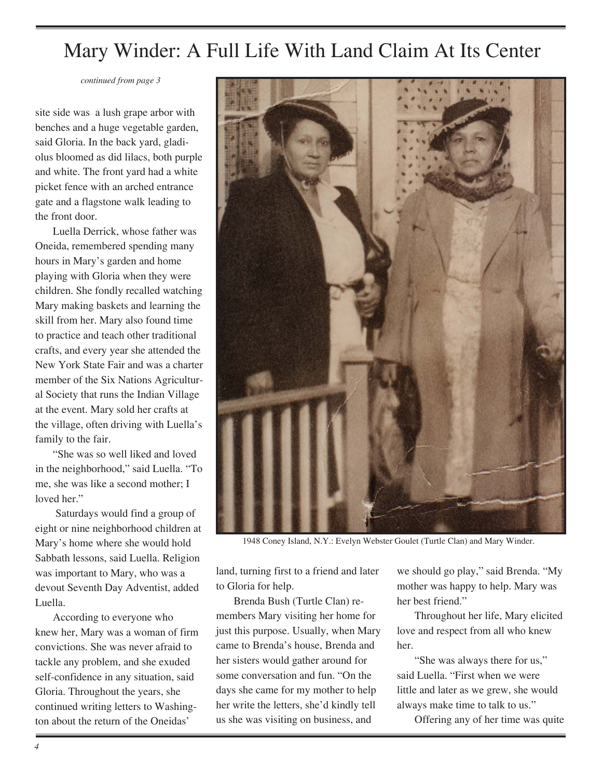*continued from page 3*

site side was a lush grape arbor with benches and a huge vegetable garden, said Gloria. In the back yard, gladiolus bloomed as did lilacs, both purple and white. The front yard had a white picket fence with an arched entrance gate and a flagstone walk leading to the front door.

Luella Derrick, whose father was Oneida, remembered spending many hours in Mary's garden and home playing with Gloria when they were children. She fondly recalled watching Mary making baskets and learning the skill from her. Mary also found time to practice and teach other traditional crafts, and every year she attended the New York State Fair and was a charter member of the Six Nations Agricultural Society that runs the Indian Village at the event. Mary sold her crafts at the village, often driving with Luella's family to the fair.

"She was so well liked and loved in the neighborhood," said Luella. "To me, she was like a second mother; I loved her."

 Saturdays would find a group of eight or nine neighborhood children at Mary's home where she would hold Sabbath lessons, said Luella. Religion was important to Mary, who was a devout Seventh Day Adventist, added Luella.

According to everyone who knew her, Mary was a woman of firm convictions. She was never afraid to tackle any problem, and she exuded self-confidence in any situation, said Gloria. Throughout the years, she continued writing letters to Washington about the return of the Oneidas'



1948 Coney Island, N.Y.: Evelyn Webster Goulet (Turtle Clan) and Mary Winder.

land, turning first to a friend and later to Gloria for help.

Brenda Bush (Turtle Clan) remembers Mary visiting her home for just this purpose. Usually, when Mary came to Brenda's house, Brenda and her sisters would gather around for some conversation and fun. "On the days she came for my mother to help her write the letters, she'd kindly tell us she was visiting on business, and

we should go play," said Brenda. "My mother was happy to help. Mary was her best friend."

Throughout her life, Mary elicited love and respect from all who knew her.

"She was always there for us," said Luella. "First when we were little and later as we grew, she would always make time to talk to us."

Offering any of her time was quite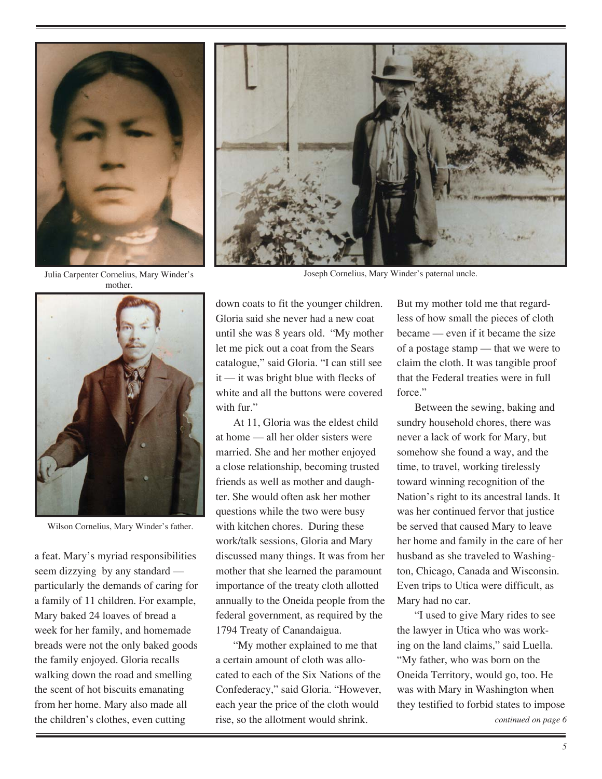

Julia Carpenter Cornelius, Mary Winder's mother.



Wilson Cornelius, Mary Winder's father.

a feat. Mary's myriad responsibilities seem dizzying by any standard particularly the demands of caring for a family of 11 children. For example, Mary baked 24 loaves of bread a week for her family, and homemade breads were not the only baked goods the family enjoyed. Gloria recalls walking down the road and smelling the scent of hot biscuits emanating from her home. Mary also made all the children's clothes, even cutting

down coats to fit the younger children. Gloria said she never had a new coat until she was 8 years old. "My mother let me pick out a coat from the Sears catalogue," said Gloria. "I can still see it — it was bright blue with flecks of white and all the buttons were covered with fur."

At 11, Gloria was the eldest child at home — all her older sisters were married. She and her mother enjoyed a close relationship, becoming trusted friends as well as mother and daughter. She would often ask her mother questions while the two were busy with kitchen chores. During these work/talk sessions, Gloria and Mary discussed many things. It was from her mother that she learned the paramount importance of the treaty cloth allotted annually to the Oneida people from the federal government, as required by the 1794 Treaty of Canandaigua.

"My mother explained to me that a certain amount of cloth was allocated to each of the Six Nations of the Confederacy," said Gloria. "However, each year the price of the cloth would rise, so the allotment would shrink.

But my mother told me that regardless of how small the pieces of cloth became — even if it became the size of a postage stamp — that we were to claim the cloth. It was tangible proof that the Federal treaties were in full force."

Between the sewing, baking and sundry household chores, there was never a lack of work for Mary, but somehow she found a way, and the time, to travel, working tirelessly toward winning recognition of the Nation's right to its ancestral lands. It was her continued fervor that justice be served that caused Mary to leave her home and family in the care of her husband as she traveled to Washington, Chicago, Canada and Wisconsin. Even trips to Utica were difficult, as Mary had no car.

"I used to give Mary rides to see the lawyer in Utica who was working on the land claims," said Luella. "My father, who was born on the Oneida Territory, would go, too. He was with Mary in Washington when they testified to forbid states to impose



Joseph Cornelius, Mary Winder's paternal uncle.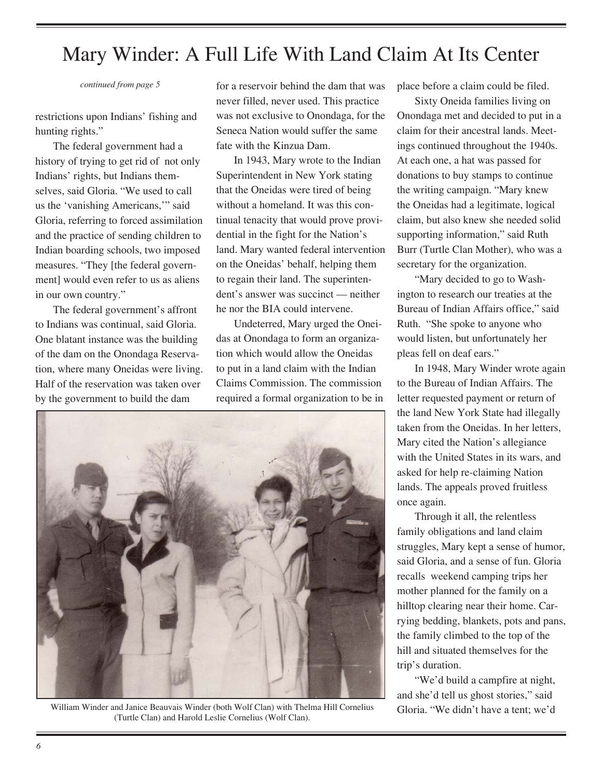*continued from page 5*

restrictions upon Indians' fishing and hunting rights."

The federal government had a history of trying to get rid of not only Indians' rights, but Indians themselves, said Gloria. "We used to call us the 'vanishing Americans,'" said Gloria, referring to forced assimilation and the practice of sending children to Indian boarding schools, two imposed measures. "They [the federal government] would even refer to us as aliens in our own country."

The federal government's affront to Indians was continual, said Gloria. One blatant instance was the building of the dam on the Onondaga Reservation, where many Oneidas were living. Half of the reservation was taken over by the government to build the dam

for a reservoir behind the dam that was never filled, never used. This practice was not exclusive to Onondaga, for the Seneca Nation would suffer the same fate with the Kinzua Dam.

In 1943, Mary wrote to the Indian Superintendent in New York stating that the Oneidas were tired of being without a homeland. It was this continual tenacity that would prove providential in the fight for the Nation's land. Mary wanted federal intervention on the Oneidas' behalf, helping them to regain their land. The superintendent's answer was succinct — neither he nor the BIA could intervene.

Undeterred, Mary urged the Oneidas at Onondaga to form an organization which would allow the Oneidas to put in a land claim with the Indian Claims Commission. The commission required a formal organization to be in



William Winder and Janice Beauvais Winder (both Wolf Clan) with Thelma Hill Cornelius (Turtle Clan) and Harold Leslie Cornelius (Wolf Clan).

place before a claim could be filed.

Sixty Oneida families living on Onondaga met and decided to put in a claim for their ancestral lands. Meetings continued throughout the 1940s. At each one, a hat was passed for donations to buy stamps to continue the writing campaign. "Mary knew the Oneidas had a legitimate, logical claim, but also knew she needed solid supporting information," said Ruth Burr (Turtle Clan Mother), who was a secretary for the organization.

"Mary decided to go to Washington to research our treaties at the Bureau of Indian Affairs office," said Ruth. "She spoke to anyone who would listen, but unfortunately her pleas fell on deaf ears."

In 1948, Mary Winder wrote again to the Bureau of Indian Affairs. The letter requested payment or return of the land New York State had illegally taken from the Oneidas. In her letters, Mary cited the Nation's allegiance with the United States in its wars, and asked for help re-claiming Nation lands. The appeals proved fruitless once again.

Through it all, the relentless family obligations and land claim struggles, Mary kept a sense of humor, said Gloria, and a sense of fun. Gloria recalls weekend camping trips her mother planned for the family on a hilltop clearing near their home. Carrying bedding, blankets, pots and pans, the family climbed to the top of the hill and situated themselves for the trip's duration.

"We'd build a campfire at night, and she'd tell us ghost stories," said Gloria. "We didn't have a tent; we'd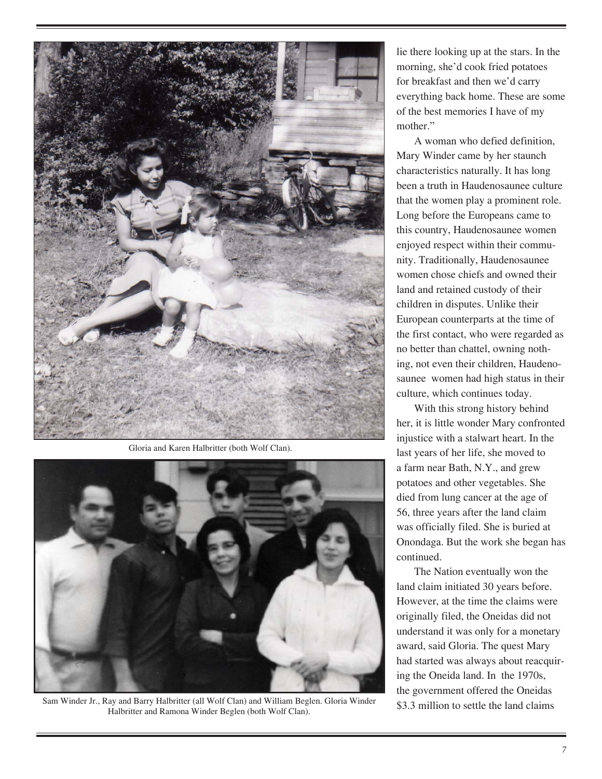

Gloria and Karen Halbritter (both Wolf Clan).



Sam Winder Jr., Ray and Barry Halbritter (all Wolf Clan) and William Beglen. Gloria Winder Halbritter and Ramona Winder Beglen (both Wolf Clan).

lie there looking up at the stars. In the morning, she'd cook fried potatoes for breakfast and then we'd carry everything back home. These are some of the best memories I have of my mother."

A woman who defied definition, Mary Winder came by her staunch characteristics naturally. It has long been a truth in Haudenosaunee culture that the women play a prominent role. Long before the Europeans came to this country, Haudenosaunee women enjoyed respect within their community. Traditionally, Haudenosaunee women chose chiefs and owned their land and retained custody of their children in disputes. Unlike their European counterparts at the time of the first contact, who were regarded as no better than chattel, owning nothing, not even their children, Haudenosaunee women had high status in their culture, which continues today.

With this strong history behind her, it is little wonder Mary confronted injustice with a stalwart heart. In the last years of her life, she moved to a farm near Bath, N.Y., and grew potatoes and other vegetables. She died from lung cancer at the age of 56, three years after the land claim was officially filed. She is buried at Onondaga. But the work she began has continued.

The Nation eventually won the land claim initiated 30 years before. However, at the time the claims were originally filed, the Oneidas did not understand it was only for a monetary award, said Gloria. The quest Mary had started was always about reacquiring the Oneida land. In the 1970s, the government offered the Oneidas \$3.3 million to settle the land claims